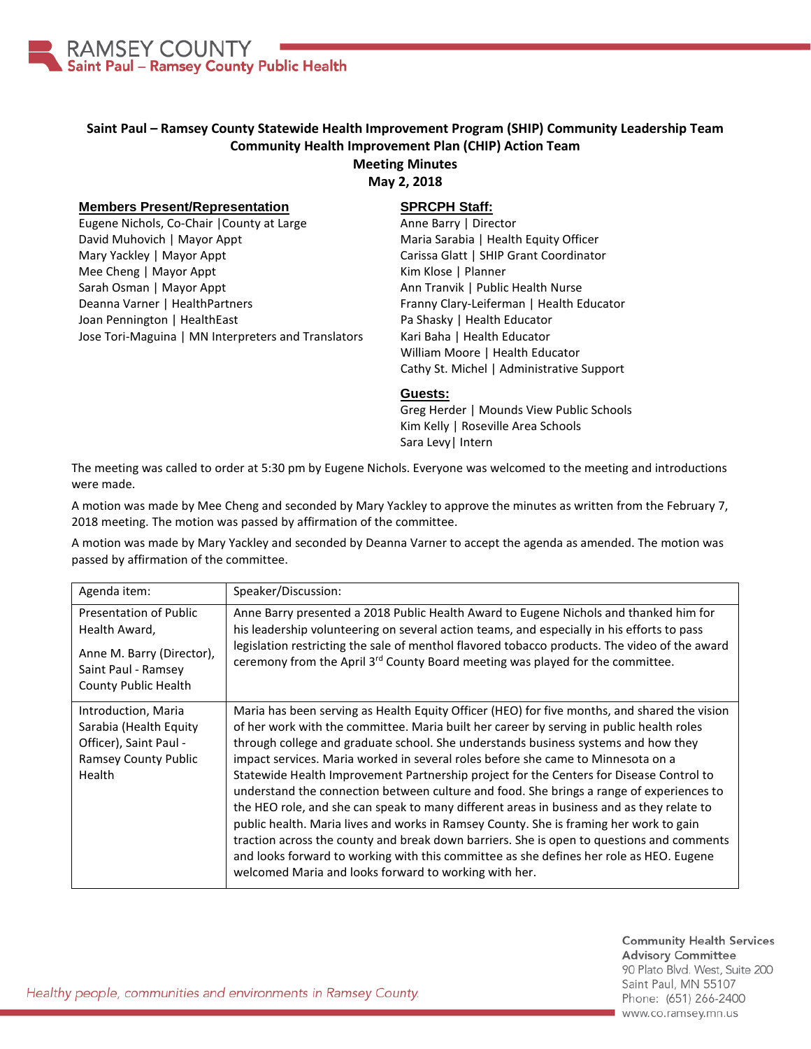

# **Saint Paul – Ramsey County Statewide Health Improvement Program (SHIP) Community Leadership Team Community Health Improvement Plan (CHIP) Action Team**

### **Meeting Minutes**

**May 2, 2018**

#### **Members Present/Representation**

Eugene Nichols, Co-Chair |County at Large David Muhovich | Mayor Appt Mary Yackley | Mayor Appt Mee Cheng | Mayor Appt Sarah Osman | Mayor Appt Deanna Varner | HealthPartners Joan Pennington | HealthEast Jose Tori-Maguina | MN Interpreters and Translators

## **SPRCPH Staff:**

Anne Barry | Director Maria Sarabia | Health Equity Officer Carissa Glatt | SHIP Grant Coordinator Kim Klose | Planner Ann Tranvik | Public Health Nurse Franny Clary-Leiferman | Health Educator Pa Shasky | Health Educator Kari Baha | Health Educator William Moore | Health Educator Cathy St. Michel | Administrative Support

#### **Guests:**

Greg Herder | Mounds View Public Schools Kim Kelly | Roseville Area Schools Sara Levy| Intern

The meeting was called to order at 5:30 pm by Eugene Nichols. Everyone was welcomed to the meeting and introductions were made.

A motion was made by Mee Cheng and seconded by Mary Yackley to approve the minutes as written from the February 7, 2018 meeting. The motion was passed by affirmation of the committee.

A motion was made by Mary Yackley and seconded by Deanna Varner to accept the agenda as amended. The motion was passed by affirmation of the committee.

| Agenda item:                                                                                                               | Speaker/Discussion:                                                                                                                                                                                                                                                                                                                                                                                                                                                                                                                                                                                                                                                                                                                                                                                                                                                                                                                                                                               |
|----------------------------------------------------------------------------------------------------------------------------|---------------------------------------------------------------------------------------------------------------------------------------------------------------------------------------------------------------------------------------------------------------------------------------------------------------------------------------------------------------------------------------------------------------------------------------------------------------------------------------------------------------------------------------------------------------------------------------------------------------------------------------------------------------------------------------------------------------------------------------------------------------------------------------------------------------------------------------------------------------------------------------------------------------------------------------------------------------------------------------------------|
| <b>Presentation of Public</b><br>Health Award,<br>Anne M. Barry (Director),<br>Saint Paul - Ramsey<br>County Public Health | Anne Barry presented a 2018 Public Health Award to Eugene Nichols and thanked him for<br>his leadership volunteering on several action teams, and especially in his efforts to pass<br>legislation restricting the sale of menthol flavored tobacco products. The video of the award<br>ceremony from the April 3 <sup>rd</sup> County Board meeting was played for the committee.                                                                                                                                                                                                                                                                                                                                                                                                                                                                                                                                                                                                                |
| Introduction, Maria<br>Sarabia (Health Equity<br>Officer), Saint Paul -<br>Ramsey County Public<br><b>Health</b>           | Maria has been serving as Health Equity Officer (HEO) for five months, and shared the vision<br>of her work with the committee. Maria built her career by serving in public health roles<br>through college and graduate school. She understands business systems and how they<br>impact services. Maria worked in several roles before she came to Minnesota on a<br>Statewide Health Improvement Partnership project for the Centers for Disease Control to<br>understand the connection between culture and food. She brings a range of experiences to<br>the HEO role, and she can speak to many different areas in business and as they relate to<br>public health. Maria lives and works in Ramsey County. She is framing her work to gain<br>traction across the county and break down barriers. She is open to questions and comments<br>and looks forward to working with this committee as she defines her role as HEO. Eugene<br>welcomed Maria and looks forward to working with her. |

**Community Health Services Advisory Committee** 90 Plato Blvd. West, Suite 200 Saint Paul, MN 55107 Phone: (651) 266-2400 www.co.ramsey.mn.us

Healthy people, communities and environments in Ramsey County.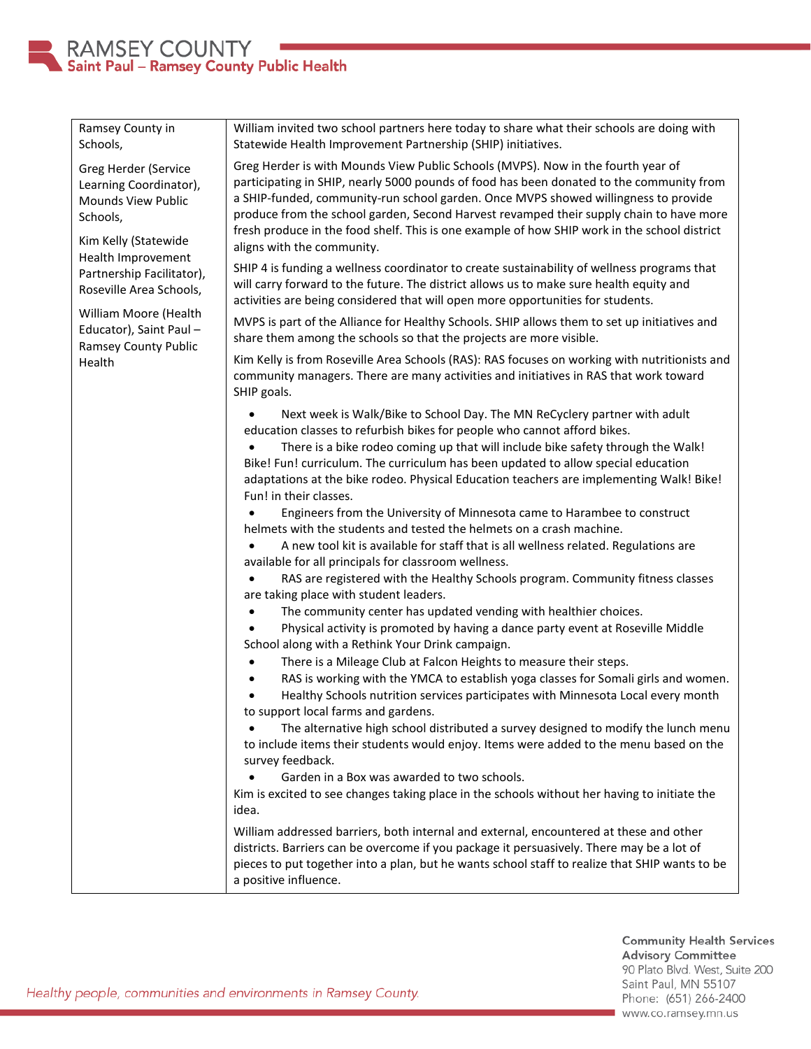

| Ramsey County in<br>Schools,                                                                                                                                                                                                                                                       | William invited two school partners here today to share what their schools are doing with<br>Statewide Health Improvement Partnership (SHIP) initiatives.                                                                                                                                                                                                                                                                                                                                                                                                                                                                                                                                                                                                                                                                                                                                                                                                                                                                                                                                                                                                                                                                                                                                                                                                                                                                                                                                                                                                                                                                                                                                                                             |
|------------------------------------------------------------------------------------------------------------------------------------------------------------------------------------------------------------------------------------------------------------------------------------|---------------------------------------------------------------------------------------------------------------------------------------------------------------------------------------------------------------------------------------------------------------------------------------------------------------------------------------------------------------------------------------------------------------------------------------------------------------------------------------------------------------------------------------------------------------------------------------------------------------------------------------------------------------------------------------------------------------------------------------------------------------------------------------------------------------------------------------------------------------------------------------------------------------------------------------------------------------------------------------------------------------------------------------------------------------------------------------------------------------------------------------------------------------------------------------------------------------------------------------------------------------------------------------------------------------------------------------------------------------------------------------------------------------------------------------------------------------------------------------------------------------------------------------------------------------------------------------------------------------------------------------------------------------------------------------------------------------------------------------|
| Greg Herder (Service<br>Learning Coordinator),<br>Mounds View Public<br>Schools,<br>Kim Kelly (Statewide<br>Health Improvement<br>Partnership Facilitator),<br>Roseville Area Schools,<br>William Moore (Health<br>Educator), Saint Paul-<br><b>Ramsey County Public</b><br>Health | Greg Herder is with Mounds View Public Schools (MVPS). Now in the fourth year of<br>participating in SHIP, nearly 5000 pounds of food has been donated to the community from<br>a SHIP-funded, community-run school garden. Once MVPS showed willingness to provide<br>produce from the school garden, Second Harvest revamped their supply chain to have more<br>fresh produce in the food shelf. This is one example of how SHIP work in the school district<br>aligns with the community.                                                                                                                                                                                                                                                                                                                                                                                                                                                                                                                                                                                                                                                                                                                                                                                                                                                                                                                                                                                                                                                                                                                                                                                                                                          |
|                                                                                                                                                                                                                                                                                    | SHIP 4 is funding a wellness coordinator to create sustainability of wellness programs that<br>will carry forward to the future. The district allows us to make sure health equity and<br>activities are being considered that will open more opportunities for students.                                                                                                                                                                                                                                                                                                                                                                                                                                                                                                                                                                                                                                                                                                                                                                                                                                                                                                                                                                                                                                                                                                                                                                                                                                                                                                                                                                                                                                                             |
|                                                                                                                                                                                                                                                                                    | MVPS is part of the Alliance for Healthy Schools. SHIP allows them to set up initiatives and<br>share them among the schools so that the projects are more visible.                                                                                                                                                                                                                                                                                                                                                                                                                                                                                                                                                                                                                                                                                                                                                                                                                                                                                                                                                                                                                                                                                                                                                                                                                                                                                                                                                                                                                                                                                                                                                                   |
|                                                                                                                                                                                                                                                                                    | Kim Kelly is from Roseville Area Schools (RAS): RAS focuses on working with nutritionists and<br>community managers. There are many activities and initiatives in RAS that work toward<br>SHIP goals.                                                                                                                                                                                                                                                                                                                                                                                                                                                                                                                                                                                                                                                                                                                                                                                                                                                                                                                                                                                                                                                                                                                                                                                                                                                                                                                                                                                                                                                                                                                                 |
|                                                                                                                                                                                                                                                                                    | Next week is Walk/Bike to School Day. The MN ReCyclery partner with adult<br>education classes to refurbish bikes for people who cannot afford bikes.<br>There is a bike rodeo coming up that will include bike safety through the Walk!<br>Bike! Fun! curriculum. The curriculum has been updated to allow special education<br>adaptations at the bike rodeo. Physical Education teachers are implementing Walk! Bike!<br>Fun! in their classes.<br>Engineers from the University of Minnesota came to Harambee to construct<br>helmets with the students and tested the helmets on a crash machine.<br>A new tool kit is available for staff that is all wellness related. Regulations are<br>available for all principals for classroom wellness.<br>RAS are registered with the Healthy Schools program. Community fitness classes<br>are taking place with student leaders.<br>The community center has updated vending with healthier choices.<br>Physical activity is promoted by having a dance party event at Roseville Middle<br>School along with a Rethink Your Drink campaign.<br>There is a Mileage Club at Falcon Heights to measure their steps.<br>RAS is working with the YMCA to establish yoga classes for Somali girls and women.<br>Healthy Schools nutrition services participates with Minnesota Local every month<br>to support local farms and gardens.<br>The alternative high school distributed a survey designed to modify the lunch menu<br>to include items their students would enjoy. Items were added to the menu based on the<br>survey feedback.<br>Garden in a Box was awarded to two schools.<br>Kim is excited to see changes taking place in the schools without her having to initiate the |
|                                                                                                                                                                                                                                                                                    | idea.<br>William addressed barriers, both internal and external, encountered at these and other                                                                                                                                                                                                                                                                                                                                                                                                                                                                                                                                                                                                                                                                                                                                                                                                                                                                                                                                                                                                                                                                                                                                                                                                                                                                                                                                                                                                                                                                                                                                                                                                                                       |
|                                                                                                                                                                                                                                                                                    | districts. Barriers can be overcome if you package it persuasively. There may be a lot of<br>pieces to put together into a plan, but he wants school staff to realize that SHIP wants to be<br>a positive influence.                                                                                                                                                                                                                                                                                                                                                                                                                                                                                                                                                                                                                                                                                                                                                                                                                                                                                                                                                                                                                                                                                                                                                                                                                                                                                                                                                                                                                                                                                                                  |

Community Health Services<br>Advisory Committee 90 Plato Blvd. West, Suite 200 Saint Paul, MN 55107 Phone: (651) 266-2400 www.co.ramsey.mn.us

Healthy people, communities and environments in Ramsey County.